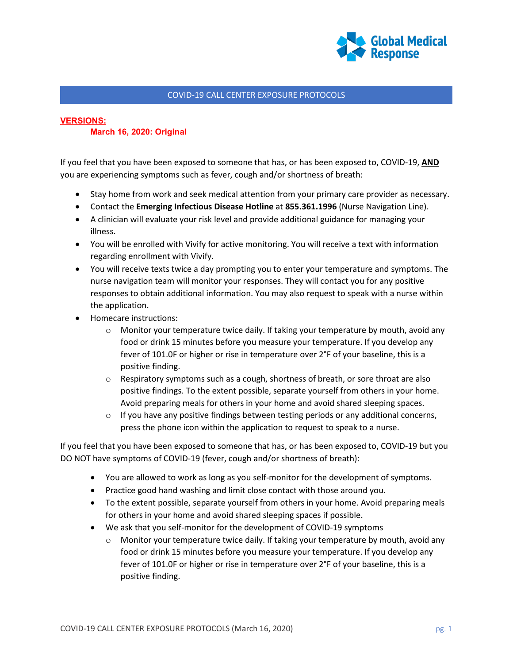

## COVID-19 CALL CENTER EXPOSURE PROTOCOLS

## **VERSIONS:**

## **March 16, 2020: Original**

If you feel that you have been exposed to someone that has, or has been exposed to, COVID-19, **AND** you are experiencing symptoms such as fever, cough and/or shortness of breath:

- Stay home from work and seek medical attention from your primary care provider as necessary.
- Contact the **Emerging Infectious Disease Hotline** at **855.361.1996** (Nurse Navigation Line).
- A clinician will evaluate your risk level and provide additional guidance for managing your illness.
- You will be enrolled with Vivify for active monitoring. You will receive a text with information regarding enrollment with Vivify.
- You will receive texts twice a day prompting you to enter your temperature and symptoms. The nurse navigation team will monitor your responses. They will contact you for any positive responses to obtain additional information. You may also request to speak with a nurse within the application.
- Homecare instructions:
	- $\circ$  Monitor your temperature twice daily. If taking your temperature by mouth, avoid any food or drink 15 minutes before you measure your temperature. If you develop any fever of 101.0F or higher or rise in temperature over 2°F of your baseline, this is a positive finding.
	- $\circ$  Respiratory symptoms such as a cough, shortness of breath, or sore throat are also positive findings. To the extent possible, separate yourself from others in your home. Avoid preparing meals for others in your home and avoid shared sleeping spaces.
	- $\circ$  If you have any positive findings between testing periods or any additional concerns, press the phone icon within the application to request to speak to a nurse.

If you feel that you have been exposed to someone that has, or has been exposed to, COVID-19 but you DO NOT have symptoms of COVID-19 (fever, cough and/or shortness of breath):

- You are allowed to work as long as you self-monitor for the development of symptoms.
- Practice good hand washing and limit close contact with those around you.
- To the extent possible, separate yourself from others in your home. Avoid preparing meals for others in your home and avoid shared sleeping spaces if possible.
- We ask that you self-monitor for the development of COVID-19 symptoms
	- $\circ$  Monitor your temperature twice daily. If taking your temperature by mouth, avoid any food or drink 15 minutes before you measure your temperature. If you develop any fever of 101.0F or higher or rise in temperature over 2°F of your baseline, this is a positive finding.